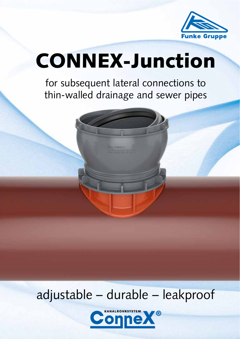

# CONNEX-Junction

for subsequent lateral connections to thin-walled drainage and sewer pipes

# adjustable – durable – leakproof

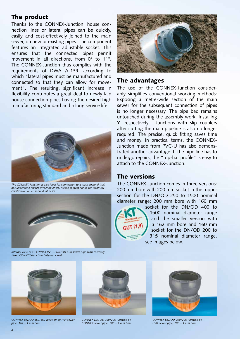#### The product

Thanks to the CONNEX-Junction, house connection lines or lateral pipes can be quickly, easily and cost-effectively joined to the main sewer, on new or existing pipes. The component features an integrated adjustable socket. This ensures that the connected pipes permit movement in all directions, from 0° to 11°. The CONNEX-Junction thus complies with the requirements of DWA A-139, according to which "lateral pipes must be manufactured and connected so that they can allow for movement". The resulting, significant increase in flexibility contributes a great deal to newly laid house connection pipes having the desired high manufacturing standard and a long service life.



*The CONNEX-Junction is also ideal for connection to a main channel that has undergone repairs involving liners. Please contact Funke for technical clarification on an individual basis.* 



*Internal view of a CONNEX PVC-U DN/OD 400 sewer pipe with correctly fitted CONNEX-Junction (internal view)*



#### The advantages

The use of the CONNEX-Junction considerably simplifies conventional working methods: Exposing a metre-wide section of the main sewer for the subsequent connection of pipes is no longer necessary. The pipe bed remains untouched during the assembly work. Installing Y- respectively T-Junctions with slip couplers after cutting the main pipeline is also no longer required. The precise, quick fitting saves time and money. In practical terms, the CONNEX-Junction made from PVC-U has also demonstrated another advantage: If the pipe line has to undergo repairs, the "top-hat profile" is easy to attach to the CONNEX-Junction.

#### The versions

The CONNEX-Junction comes in three versions: 200 mm bore with 200 mm socket in the upper section for the DN/OD 250 to 1500 nominal diameter range; 200 mm bore with 160 mm



socket for the DN/OD 400 to 1500 nominal diameter range and the smaller version with a 162 mm bore and 160 mm socket for the DN/OD 200 to 315 nominal diameter range, see images below.



*CONNEX DN/OD 160/162 junction on HS® sewer pipe, 162 ± 1 mm bore* 





*CONNEX DN/OD 200/200 junction on HS® sewer pipe, 200 ± 1 mm bore*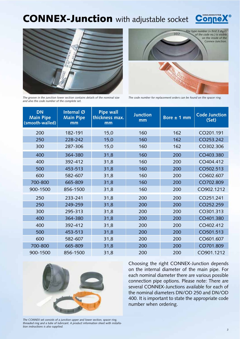### CONNEX-Junction with adjustable socket







*The groove in the junction lower section contains details of the nominal size and also the code number of the complete set.* 

*The code number for replacement orders can be found on the spacer ring.*

| <b>DN</b><br><b>Main Pipe</b><br>(smooth-walled) | Internal $\emptyset$<br><b>Main Pipe</b><br>mm | <b>Pipe wall</b><br>thickness max.<br>mm | <b>Junction</b><br>mm | Bore $\pm$ 1 mm | <b>Code Junction</b><br>(Set) |
|--------------------------------------------------|------------------------------------------------|------------------------------------------|-----------------------|-----------------|-------------------------------|
| 200                                              | 182-191                                        | 15,0                                     | 160                   | 162             | CO201.191                     |
| 250                                              | 228-242                                        | 15,0                                     | 160                   | 162             | CO253.242                     |
| 300                                              | 287-306                                        | 15,0                                     | 160                   | 162             | CO302.306                     |
| 400                                              | 364-380                                        | 31,8                                     | 160                   | 200             | CO403.380                     |
| 400                                              | 392-412                                        | 31,8                                     | 160                   | 200             | CO404.412                     |
| 500                                              | 453-513                                        | 31,8                                     | 160                   | 200             | CO502.513                     |
| 600                                              | 582-607                                        | 31,8                                     | 160                   | 200             | CO602.607                     |
| 700-800                                          | 665-809                                        | 31,8                                     | 160                   | 200             | CO702.809                     |
| 900-1500                                         | 856-1500                                       | 31,8                                     | 160                   | 200             | CO902.1212                    |
| 250                                              | 233-241                                        | 31,8                                     | 200                   | 200             | CO251.241                     |
| 250                                              | 249-259                                        | 31,8                                     | 200                   | 200             | CO252.259                     |
| 300                                              | 295-313                                        | 31,8                                     | 200                   | 200             | CO301.313                     |
| 400                                              | 364-380                                        | 31,8                                     | 200                   | 200             | CO401.380                     |
| 400                                              | 392-412                                        | 31,8                                     | 200                   | 200             | CO402.412                     |
| 500                                              | 453-513                                        | 31,8                                     | 200                   | 200             | CO501.513                     |
| 600                                              | 582-607                                        | 31,8                                     | 200                   | 200             | CO601.607                     |
| 700-800                                          | 665-809                                        | 31,8                                     | 200                   | 200             | CO701.809                     |
| 900-1500                                         | 856-1500                                       | 31,8                                     | 200                   | 200             | CO901.1212                    |



Choosing the right CONNEX-Junction depends on the internal diameter of the main pipe. For each nominal diameter there are various possible connection pipe options. Please note: There are several CONNEX-Junctions available for each of the nominal diameters DN/OD 250 and DN/OD 400. It is important to state the appropriate code number when ordering.

*The CONNEX set consists of a junction upper and lower section, spacer ring, threaded ring and a tube of lubricant. A product information sheet with installation instructions is also supplied.*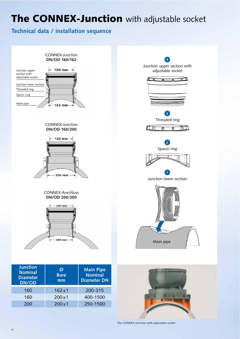# The CONNEX-Junction with adjustable socket

#### **Technical data / installation sequence**



| <b>Junction</b><br><b>Nominal</b><br><b>Diameter</b><br><b>DN/OD</b> | Ø<br><b>Bore</b><br>mm | <b>Main Pipe</b><br><b>Nominal</b><br><b>Diameter DN</b> |
|----------------------------------------------------------------------|------------------------|----------------------------------------------------------|
| 160                                                                  | $162 + 1$              | 200-315                                                  |
| 160                                                                  | $200 \pm 1$            | 400-1500                                                 |
| 200                                                                  | $200 \pm 1$            | 250-1500                                                 |

*The CONNEX-Junction with adjustable socket*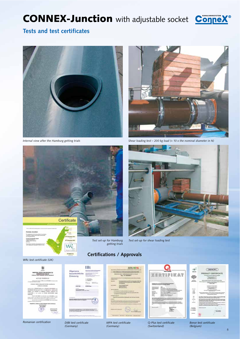# CONNEX-Junction with adjustable socket Connex<sup>®</sup>



#### **Tests and test certificates**





*Internal view after the Hamburg getting trials Shear loading test – 200 kg load (= 10 x the nominal diameter in N)* 







**DiBt** 

 $-1122$ 

**Circula**  $\frac{1}{2}$ 

E-SASSAHINGSALDAGAN POSE-



*Test set-up for shear loading test* 

#### *WRc test certificate (UK)*



*Romanian certification Benor test certificate* 



ulg

autsich



*MPA test certificate (Germany)* 



*Q-Plus test certificate (Switzerland)* 



*(Belgium)* 

*5*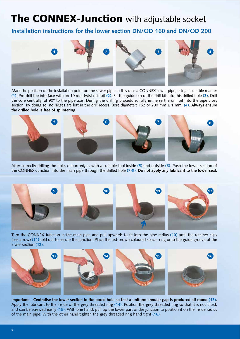# The CONNEX-Junction with adjustable socket

#### **Installation instructions for the lower section DN/OD 160 and DN/OD 200**



Mark the position of the installation point on the sewer pipe, in this case a CONNEX sewer pipe, using a suitable marker **(1)**. Pre-drill the interface with an 10 mm twist drill bit **(2)**. Fit the guide pin of the drill bit into this drilled hole **(3)**. Drill the core centrally, at 90° to the pipe axis. During the drilling procedure, fully immerse the drill bit into the pipe cross section. By doing so, no ridges are left in the drill recess. Bore diameter: 162 or 200 mm ± 1 mm. **(4)**. **Always ensure the drilled hole is free of splintering.**



After correctly drilling the hole, deburr edges with a suitable tool inside **(5)** and outside **(6)**. Push the lower section of the CONNEX-Junction into the main pipe through the drilled hole **(7-9)**. **Do not apply any lubricant to the lower seal.**



Turn the CONNEX-Junction in the main pipe and pull upwards to fit into the pipe radius **(10)** until the retainer clips (see arrow) **(11)** fold out to secure the junction. Place the red-brown coloured spacer ring onto the guide groove of the lower section **(12)**.



**Important – Centralise the lower section in the bored hole so that a uniform annular gap is produced all round (13).** Apply the lubricant to the inside of the grey threaded ring **(14)**. Position the grey threaded ring so that it is not tilted, and can be screwed easily **(15)**. With one hand, pull up the lower part of the junction to position it on the inside radius of the main pipe. With the other hand tighten the grey threaded ring hand tight **(16)**.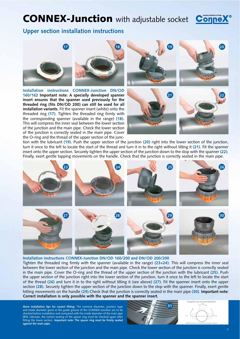## **CONNEX-Junction** with adjustable socket **Con**



#### **Upper section installation instructions**





**Installation instructions CONNEX-Junction DN/OD 160/162 Important note: A specially developed spanner insert ensures that the spanner used previously for the threaded ring (fits DN/OD 200) can still be used for all installation variants.** Fit the spanner insert (white) onto the threaded ring **(17)**. Tighten the threaded ring firmly with the corresponding spanner (available in the range) **(18)**. This will compress the inner seal between the lower section of the junction and the main pipe. Check the lower section of the junction is correctly seated in the main pipe. Cover the O-ring and the thread of the upper section of the junc-









tion with the lubricant **(19)**. Push the upper section of the junction **(20)** right into the lower section of the junction, turn it once to the left to locate the start of the thread and turn it in to the right without tilting it **(21)**. Fit the spanner insert onto the upper section. Securely tighten the upper section of the junction down to the stop with the spanner **(22)**. Finally, exert gentle tapping movements on the handle. Check that the junction is correctly seated in the main pipe.



**Installation instructions CONNEX-Junction DN/OD 160/200 and DN/OD 200/200** 

Tighten the threaded ring firmly with the spanner (available in the range) **(23+24)**. This will compress the inner seal between the lower section of the junction and the main pipe. Check the lower section of the junction is correctly seated in the main pipe. Cover the O-ring and the thread of the upper section of the junction with the lubricant **(25)**. Push the upper section of the junction right into the lower section of the junction, turn it once to the left to locate the start of the thread **(26)** and turn it in to the right without tilting it (see above) **(27)**. Fit the spanner insert onto the upper section **(28)**. Securely tighten the upper section of the junction down to the stop with the spanner. Finally, exert gentle hitting movements on the handle **(29)**.Check that the junction is correctly seated in the main pipe **(30)**. **Important note: Correct installation is only possible with the spanner and the spanner insert.**

**More installation tips for correct fitting:** The nominal diameter, junction type and inside diameter given in the guide groove of the CONNEX-Junction are to be checked before installation and compared with the inside diameter of the main pipe **(31)**. Likewise, the correct seating of the spacer ring must be checked again after fitting the lower section. **Important note: The spacer ring must be firmly seated against the main pipe.**